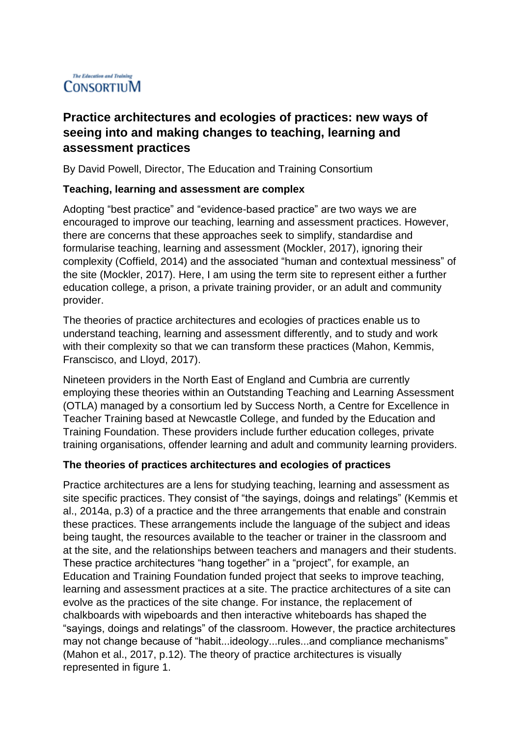# The Education and Training CONSORTIUM

# **Practice architectures and ecologies of practices: new ways of seeing into and making changes to teaching, learning and assessment practices**

By David Powell, Director, The Education and Training Consortium

### **Teaching, learning and assessment are complex**

Adopting "best practice" and "evidence-based practice" are two ways we are encouraged to improve our teaching, learning and assessment practices. However, there are concerns that these approaches seek to simplify, standardise and formularise teaching, learning and assessment (Mockler, 2017), ignoring their complexity (Coffield, 2014) and the associated "human and contextual messiness" of the site (Mockler, 2017). Here, I am using the term site to represent either a further education college, a prison, a private training provider, or an adult and community provider.

The theories of practice architectures and ecologies of practices enable us to understand teaching, learning and assessment differently, and to study and work with their complexity so that we can transform these practices (Mahon, Kemmis, Franscisco, and Lloyd, 2017).

Nineteen providers in the North East of England and Cumbria are currently employing these theories within an Outstanding Teaching and Learning Assessment (OTLA) managed by a consortium led by Success North, a Centre for Excellence in Teacher Training based at Newcastle College, and funded by the Education and Training Foundation. These providers include further education colleges, private training organisations, offender learning and adult and community learning providers.

#### **The theories of practices architectures and ecologies of practices**

Practice architectures are a lens for studying teaching, learning and assessment as site specific practices. They consist of "the sayings, doings and relatings" (Kemmis et al., 2014a, p.3) of a practice and the three arrangements that enable and constrain these practices. These arrangements include the language of the subject and ideas being taught, the resources available to the teacher or trainer in the classroom and at the site, and the relationships between teachers and managers and their students. These practice architectures "hang together" in a "project", for example, an Education and Training Foundation funded project that seeks to improve teaching, learning and assessment practices at a site. The practice architectures of a site can evolve as the practices of the site change. For instance, the replacement of chalkboards with wipeboards and then interactive whiteboards has shaped the "sayings, doings and relatings" of the classroom. However, the practice architectures may not change because of "habit...ideology...rules...and compliance mechanisms" (Mahon et al., 2017, p.12). The theory of practice architectures is visually represented in figure 1.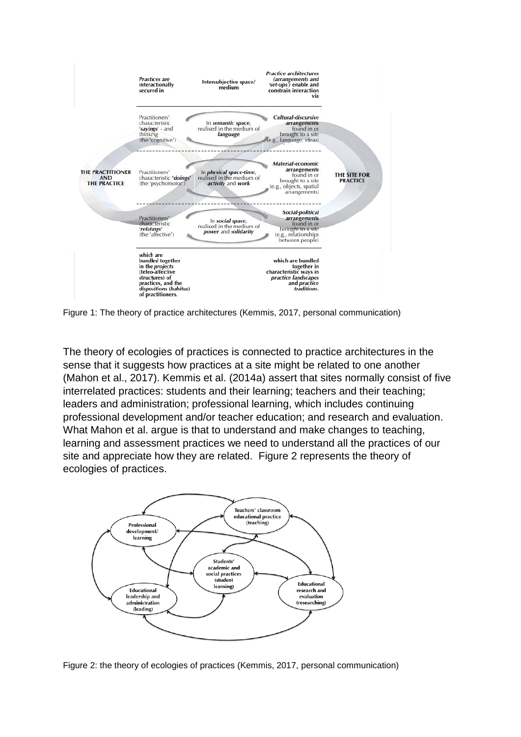

Figure 1: The theory of practice architectures (Kemmis, 2017, personal communication)

The theory of ecologies of practices is connected to practice architectures in the sense that it suggests how practices at a site might be related to one another (Mahon et al., 2017). Kemmis et al. (2014a) assert that sites normally consist of five interrelated practices: students and their learning; teachers and their teaching; leaders and administration; professional learning, which includes continuing professional development and/or teacher education; and research and evaluation. What Mahon et al. argue is that to understand and make changes to teaching, learning and assessment practices we need to understand all the practices of our site and appreciate how they are related. Figure 2 represents the theory of ecologies of practices.



Figure 2: the theory of ecologies of practices (Kemmis, 2017, personal communication)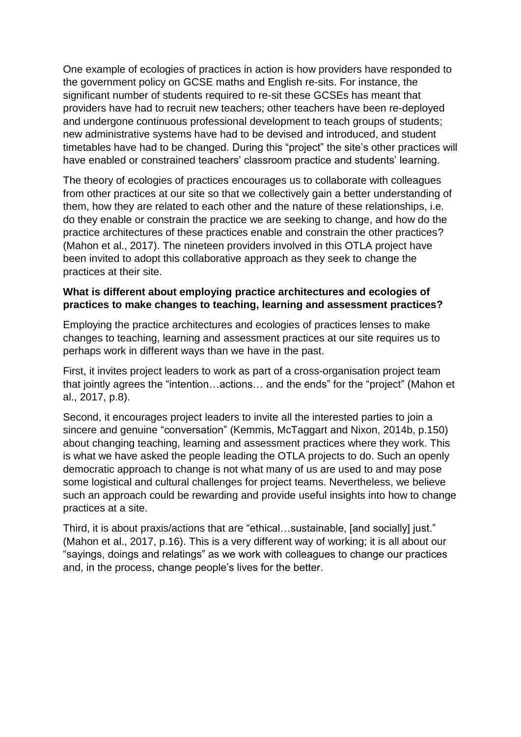One example of ecologies of practices in action is how providers have responded to the government policy on GCSE maths and English re-sits. For instance, the significant number of students required to re-sit these GCSEs has meant that providers have had to recruit new teachers; other teachers have been re-deployed and undergone continuous professional development to teach groups of students; new administrative systems have had to be devised and introduced, and student timetables have had to be changed. During this "project" the site's other practices will have enabled or constrained teachers' classroom practice and students' learning.

The theory of ecologies of practices encourages us to collaborate with colleagues from other practices at our site so that we collectively gain a better understanding of them, how they are related to each other and the nature of these relationships, i.e. do they enable or constrain the practice we are seeking to change, and how do the practice architectures of these practices enable and constrain the other practices? (Mahon et al., 2017). The nineteen providers involved in this OTLA project have been invited to adopt this collaborative approach as they seek to change the practices at their site.

## **What is different about employing practice architectures and ecologies of practices to make changes to teaching, learning and assessment practices?**

Employing the practice architectures and ecologies of practices lenses to make changes to teaching, learning and assessment practices at our site requires us to perhaps work in different ways than we have in the past.

First, it invites project leaders to work as part of a cross-organisation project team that jointly agrees the "intention…actions… and the ends" for the "project" (Mahon et al., 2017, p.8).

Second, it encourages project leaders to invite all the interested parties to join a sincere and genuine "conversation" (Kemmis, McTaggart and Nixon, 2014b, p.150) about changing teaching, learning and assessment practices where they work. This is what we have asked the people leading the OTLA projects to do. Such an openly democratic approach to change is not what many of us are used to and may pose some logistical and cultural challenges for project teams. Nevertheless, we believe such an approach could be rewarding and provide useful insights into how to change practices at a site.

Third, it is about praxis/actions that are "ethical…sustainable, [and socially] just." (Mahon et al., 2017, p.16). This is a very different way of working; it is all about our "sayings, doings and relatings" as we work with colleagues to change our practices and, in the process, change people's lives for the better.